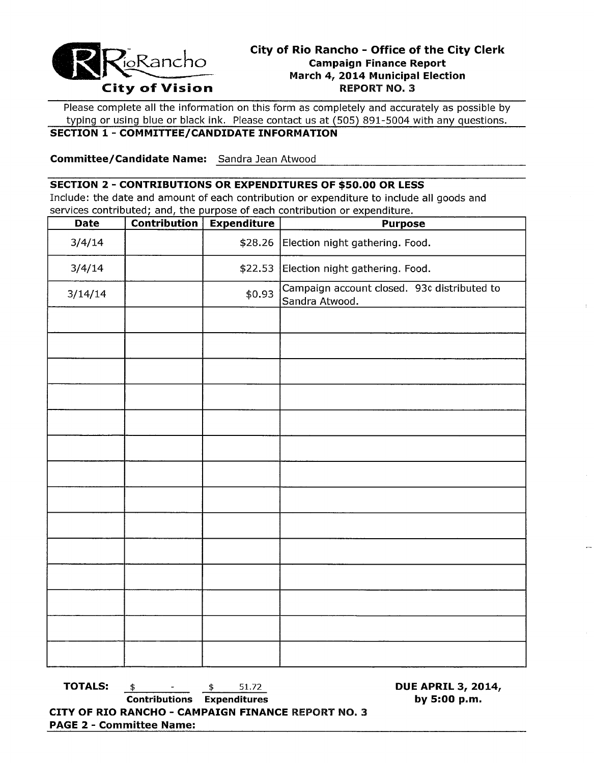

Please complete all the information on this form as completely and accurately as possible by typing or using blue or black ink. Please contact us at (505) 891-5004 with any questions.

## **SECTION 1 - COMMITTEE/CANDIDATE INFORMATION**

------------------------------------------------ **Committee/Candidate Name:** Sandra Jean Atwood

## **SECTION 2 - CONTRIBUTIONS OR EXPENDITURES OF \$50.00 OR LESS**

Include: the date and amount of each contribution or expenditure to include all goods and services contributed; and, the purpose of each contribution or expenditure.

| <b>Date</b> | <b>Contribution</b> | <b>Expenditure</b> | <b>Purpose</b>                                                |  |  |
|-------------|---------------------|--------------------|---------------------------------------------------------------|--|--|
| 3/4/14      |                     | \$28.26            | Election night gathering. Food.                               |  |  |
| 3/4/14      |                     | \$22.53            | Election night gathering. Food.                               |  |  |
| 3/14/14     |                     | \$0.93             | Campaign account closed. 93¢ distributed to<br>Sandra Atwood. |  |  |
|             |                     |                    |                                                               |  |  |
|             |                     |                    |                                                               |  |  |
|             |                     |                    |                                                               |  |  |
|             |                     |                    |                                                               |  |  |
|             |                     |                    |                                                               |  |  |
|             |                     |                    |                                                               |  |  |
|             |                     |                    |                                                               |  |  |
|             |                     |                    |                                                               |  |  |
|             |                     |                    |                                                               |  |  |
|             |                     |                    |                                                               |  |  |
|             |                     |                    |                                                               |  |  |
|             |                     |                    |                                                               |  |  |
|             |                     |                    |                                                               |  |  |
|             |                     |                    |                                                               |  |  |

**TOTALS:**  $\qquad \qquad \ast \qquad \qquad 51.72$  **DUE APRIL 3, 2014,** 

**Contributions Expenditures by 5:00 p.m. CITY OF RIO RANCHO - CAMPAIGN FINANCE** REPORT NO.3 **PAGE 2 - Committee Name:**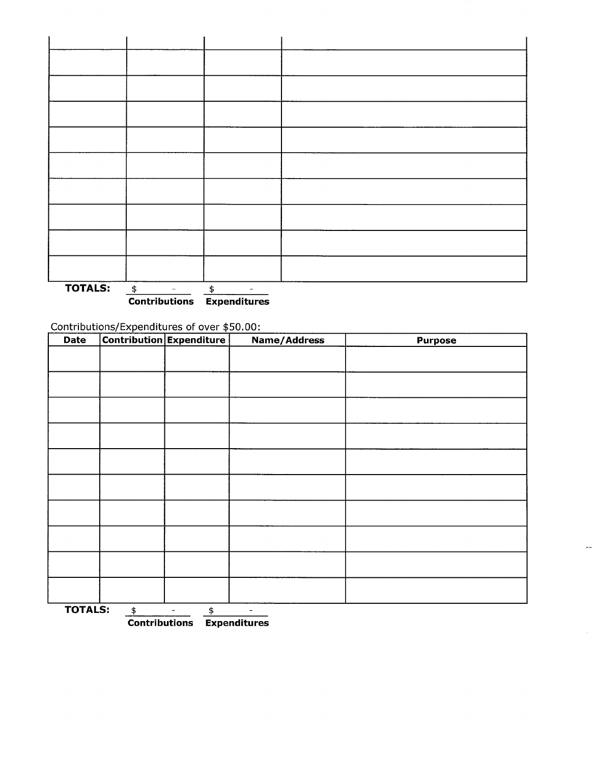

**Contributions Expenditures** 

Contributions/Expenditures of over \$50 00'

| Date                                                                                   |  | <b>Contribution Expenditure</b> | <b>Name/Address</b> | <b>Purpose</b> |  |  |
|----------------------------------------------------------------------------------------|--|---------------------------------|---------------------|----------------|--|--|
|                                                                                        |  |                                 |                     |                |  |  |
|                                                                                        |  |                                 |                     |                |  |  |
|                                                                                        |  |                                 |                     |                |  |  |
|                                                                                        |  |                                 |                     |                |  |  |
|                                                                                        |  |                                 |                     |                |  |  |
|                                                                                        |  |                                 |                     |                |  |  |
|                                                                                        |  |                                 |                     |                |  |  |
|                                                                                        |  |                                 |                     |                |  |  |
|                                                                                        |  |                                 |                     |                |  |  |
|                                                                                        |  |                                 |                     |                |  |  |
|                                                                                        |  |                                 |                     |                |  |  |
|                                                                                        |  |                                 |                     |                |  |  |
|                                                                                        |  |                                 |                     |                |  |  |
|                                                                                        |  |                                 |                     |                |  |  |
|                                                                                        |  |                                 |                     |                |  |  |
|                                                                                        |  |                                 |                     |                |  |  |
|                                                                                        |  |                                 |                     |                |  |  |
|                                                                                        |  |                                 |                     |                |  |  |
|                                                                                        |  |                                 |                     |                |  |  |
| <b>TOTALS:</b><br>\$<br>\$<br>$\qquad \qquad \blacksquare$<br>$\overline{\phantom{a}}$ |  |                                 |                     |                |  |  |

**Contributions Expenditures**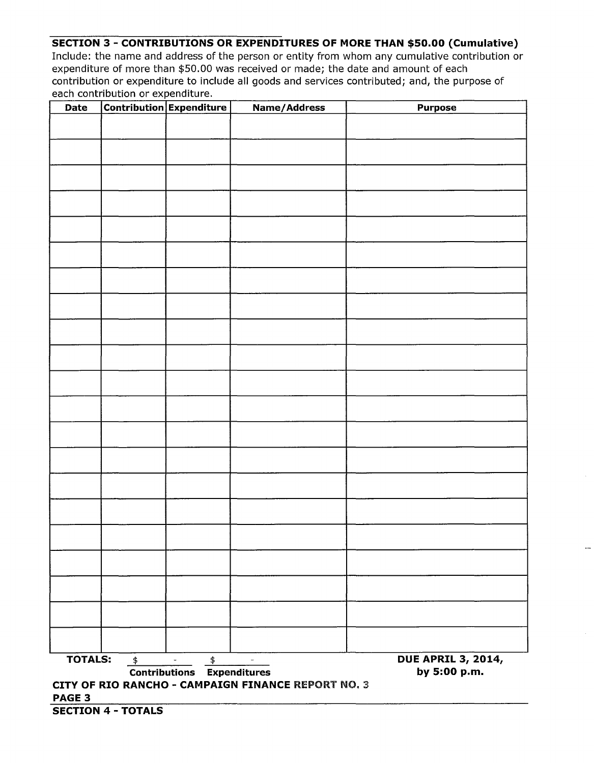## **SECTION 3 - CONTRIBUTIONS OR EXPENDITURES OF MORE THAN \$50.00 (Cumulative)**

Include: the name and address of the person or entity from whom any cumulative contribution or expenditure of more than \$50.00 was received or made; the date and amount of each contribution or expenditure to include all goods and services contributed; and, the purpose of each contribution or expenditure.

| Date                                                                                                          |                                                   | <b>Contribution Expenditure</b> | <b>Name/Address</b> | <b>Purpose</b> |  |  |  |
|---------------------------------------------------------------------------------------------------------------|---------------------------------------------------|---------------------------------|---------------------|----------------|--|--|--|
|                                                                                                               |                                                   |                                 |                     |                |  |  |  |
|                                                                                                               |                                                   |                                 |                     |                |  |  |  |
|                                                                                                               |                                                   |                                 |                     |                |  |  |  |
|                                                                                                               |                                                   |                                 |                     |                |  |  |  |
|                                                                                                               |                                                   |                                 |                     |                |  |  |  |
|                                                                                                               |                                                   |                                 |                     |                |  |  |  |
|                                                                                                               |                                                   |                                 |                     |                |  |  |  |
|                                                                                                               |                                                   |                                 |                     |                |  |  |  |
|                                                                                                               |                                                   |                                 |                     |                |  |  |  |
|                                                                                                               |                                                   |                                 |                     |                |  |  |  |
|                                                                                                               |                                                   |                                 |                     |                |  |  |  |
|                                                                                                               |                                                   |                                 |                     |                |  |  |  |
|                                                                                                               |                                                   |                                 |                     |                |  |  |  |
|                                                                                                               |                                                   |                                 |                     |                |  |  |  |
|                                                                                                               |                                                   |                                 |                     |                |  |  |  |
|                                                                                                               |                                                   |                                 |                     |                |  |  |  |
|                                                                                                               |                                                   |                                 |                     |                |  |  |  |
|                                                                                                               |                                                   |                                 |                     |                |  |  |  |
|                                                                                                               |                                                   |                                 |                     |                |  |  |  |
|                                                                                                               |                                                   |                                 |                     |                |  |  |  |
|                                                                                                               |                                                   |                                 |                     |                |  |  |  |
|                                                                                                               |                                                   |                                 |                     |                |  |  |  |
|                                                                                                               |                                                   |                                 |                     |                |  |  |  |
|                                                                                                               |                                                   |                                 |                     |                |  |  |  |
|                                                                                                               |                                                   |                                 |                     |                |  |  |  |
|                                                                                                               |                                                   |                                 |                     |                |  |  |  |
|                                                                                                               |                                                   |                                 |                     |                |  |  |  |
|                                                                                                               |                                                   |                                 |                     |                |  |  |  |
|                                                                                                               |                                                   |                                 |                     |                |  |  |  |
|                                                                                                               |                                                   |                                 |                     |                |  |  |  |
|                                                                                                               |                                                   |                                 |                     |                |  |  |  |
| <b>DUE APRIL 3, 2014,</b><br><b>TOTALS:</b><br>\$<br>$\ddagger$<br>$\blacksquare$<br>$\overline{\phantom{a}}$ |                                                   |                                 |                     |                |  |  |  |
|                                                                                                               | by 5:00 p.m.<br><b>Contributions Expenditures</b> |                                 |                     |                |  |  |  |
| CITY OF RIO RANCHO - CAMPAIGN FINANCE REPORT NO. 3<br>PAGE 3                                                  |                                                   |                                 |                     |                |  |  |  |
| <b>SECTION 4 - TOTALS</b>                                                                                     |                                                   |                                 |                     |                |  |  |  |

 $\overline{a}$